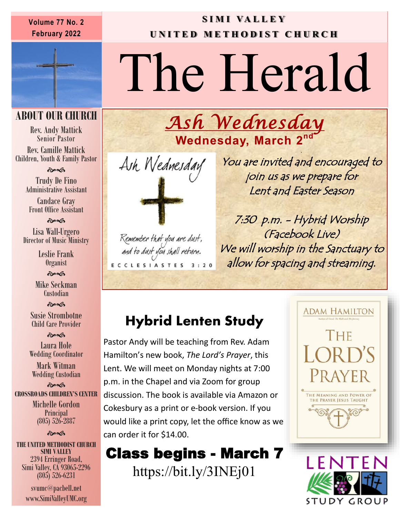#### Volume 77 No. 2 **SIMI VALLEY Volume 77 No. 2 February 2022**

## **U N I T E D M E T H O D I S T C H U RCH**

# The Herald

*Ash Wednesday* 

#### **ABOUT OUR CHURCH**

Rev. Andy Mattick Senior Pastor Rev. Camille Mattick Children, Youth & Family Pastor

 $\hat{\mathbf{c}}$ 

Trudy De Fino Administrative Assistant

Candace Gray Front Office Assistant

**Book** 

Lisa Wall-Urgero Director of Music Ministry

> Leslie Frank Organist

 $\hat{\mathbf{c}}$ Mike Seckman Custodian

**సౌవ** 

Susie Strombotne Child Care Provider

 $\hat{\mathbf{c}}$ Laura Hole Wedding Coordinator

Mark Witman Wedding Custodian

**Post CROSSROADS CHILDREN'S CENTER** Michelle Gordon Principal (805) 526-2887

#### **Post**

**THE UNITED METHODIST CHURCH SIMI VALLEY** 2394 Erringer Road, Simi Valley, CA 93065-2296 (805) 526-6231

> svumc@pacbell.net www.SimiValleyUMC.org



Remember that you are dust, and to dust you shall return. ECCLESIASTES 3:20

. You are invited and encouraged to join us as we prepare for Lent and Easter Season

7:30 p.m. - Hybrid Worship (Facebook Live) We will worship in the Sanctuary to allow for spacing and streaming.

### **Hybrid Lenten Study**

Pastor Andy will be teaching from Rev. Adam Hamilton's new book, *The Lord's Prayer*, this Lent. We will meet on Monday nights at 7:00 p.m. in the Chapel and via Zoom for group discussion. The book is available via Amazon or Cokesbury as a print or e-book version. If you would like a print copy, let the office know as we can order it for \$14.00.

Class begins - March 7 https://bit.ly/3INEj01



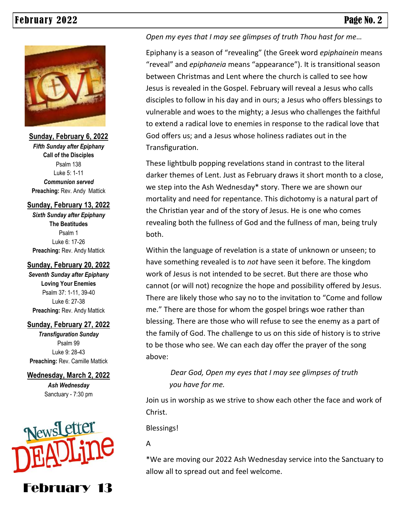

**Sunday, February 6, 2022** *Fifth Sunday after Epiphany* **Call of the Disciples** Psalm 138 Luke 5: 1-11 *Communion served* **Preaching:** Rev. Andy Mattick

#### **Sunday, February 13, 2022**

*Sixth Sunday after Epiphany* **The Beatitudes** Psalm 1 Luke 6: 17-26 **Preaching:** Rev. Andy Mattick

#### **Sunday, February 20, 2022**

*Seventh Sunday after Epiphany* **Loving Your Enemies**  Psalm 37: 1-11, 39-40 Luke 6: 27-38 **Preaching:** Rev. Andy Mattick

#### **Sunday, February 27, 2022**

*Transfiguration Sunday* Psalm 99 Luke 9: 28-43 **Preaching:** Rev. Camille Mattick

#### **Wednesday, March 2, 2022**

*Ash Wednesday* Sanctuary - 7:30 pm



February 13

*Open my eyes that I may see glimpses of truth Thou hast for me…*

 Epiphany is a season of "revealing" (the Greek word *epiphainein* means "reveal" and *epiphaneia* means "appearance"). It is transitional season between Christmas and Lent where the church is called to see how Jesus is revealed in the Gospel. February will reveal a Jesus who calls disciples to follow in his day and in ours; a Jesus who offers blessings to vulnerable and woes to the mighty; a Jesus who challenges the faithful to extend a radical love to enemies in response to the radical love that God offers us; and a Jesus whose holiness radiates out in the Transfiguration.

These lightbulb popping revelations stand in contrast to the literal darker themes of Lent. Just as February draws it short month to a close, we step into the Ash Wednesday\* story. There we are shown our mortality and need for repentance. This dichotomy is a natural part of the Christian year and of the story of Jesus. He is one who comes revealing both the fullness of God and the fullness of man, being truly both.

Within the language of revelation is a state of unknown or unseen; to have something revealed is to *not* have seen it before. The kingdom work of Jesus is not intended to be secret. But there are those who cannot (or will not) recognize the hope and possibility offered by Jesus. There are likely those who say no to the invitation to "Come and follow me." There are those for whom the gospel brings woe rather than blessing. There are those who will refuse to see the enemy as a part of the family of God. The challenge to us on this side of history is to strive to be those who see. We can each day offer the prayer of the song above:

> *Dear God, Open my eyes that I may see glimpses of truth you have for me.*

Join us in worship as we strive to show each other the face and work of Christ.

Blessings!

A

\*We are moving our 2022 Ash Wednesday service into the Sanctuary to allow all to spread out and feel welcome.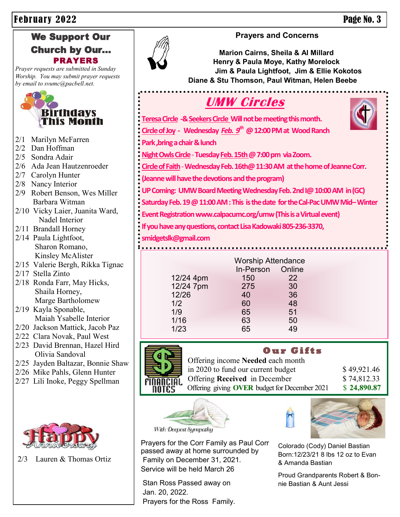#### We Support Our Church by Our... PRAYERS

*Prayer requests are submitted in Sunday Worship. You may submit prayer requests by email to svumc@pacbell.net.*



- 2/1 Marilyn McFarren
- 2/2 Dan Hoffman
- 2/5 Sondra Adair
- 2/6 Ada Jean Hautzenroeder
- 2/7 Carolyn Hunter
- 2/8 Nancy Interior
- 2/9 Robert Benson, Wes Miller Barbara Witman
- 2/10 Vicky Laier, Juanita Ward, Nadel Interior
- 2/11 Brandall Horney
- 2/14 Paula Lightfoot, Sharon Romano, Kinsley McAlister
- 2/15 Valerie Bergh, Rikka Tignac
- 2/17 Stella Zinto
- 2/18 Ronda Farr, May Hicks, Shaila Horney, Marge Bartholomew
- 2/19 Kayla Sponable, Maiah Ysabelle Interior
- 2/20 Jackson Mattick, Jacob Paz
- 2/22 Clara Novak, Paul West
- 2/23 David Brennan, Hazel Hird Olivia Sandoval
- 2/25 Jayden Baltazar, Bonnie Shaw
- 2/26 Mike Pahls, Glenn Hunter
- 2/27 Lili Inoke, Peggy Spellman



2/3 Lauren & Thomas Ortiz



#### **Prayers and Concerns**

**Marion Cairns, Sheila & Al Millard Henry & Paula Moye, Kathy Morelock Jim & Paula Lightfoot, Jim & Ellie Kokotos Diane & Stu Thomson, Paul Witman, Helen Beebe**

**UMW Circles Teresa Circle -& Seekers Circle Will not be meeting this month. Circle of Joy - Wednesday** *Feb. 9th* **@ 12:00 PM at Wood Ranch Park ,bring a chair & lunch Night Owls Circle**-**Tuesday Feb. 15th @ 7:00 pm via Zoom. Circle of Faith**-**Wednesday Feb. 16th@ 11:30 AM at the home of Jeanne Corr. (Jeanne will have the devotions and the program) UP Coming: UMW Board Meeting Wednesday Feb. 2nd I@ 10:00 AM in (GC) Saturday Feb. 19 @ 11:00 AM : This is the date for the Cal-Pac UMW Mid–Winter Event Registration www.calpacumc.org/umw (This is a Virtual event) If you have any questions, contact Lisa Kadowaki 805-236-3370, smidgetslk@gmail.com** 

|           | <b>Worship Attendance</b> |        |
|-----------|---------------------------|--------|
|           | In-Person                 | Online |
| 12/24 4pm | 150                       | 22     |
| 12/24 7pm | 275                       | 30     |
| 12/26     | 40                        | 36     |
| 1/2       | 60                        | 48     |
| 1/9       | 65                        | 51     |
| 1/16      | 63                        | 50     |
| 1/23      | 65                        | 49     |
|           |                           |        |



 **O u r G i f t s**  Offering income **Needed** each month in 2020 to fund our current budget  $$49,921.46$ Offering **Received** in December \$74,812.33 Offering giving **OVER** budget for December 2021 \$ 24,890.87





Colorado (Cody) Daniel Bastian Born:12/23/21 8 lbs 12 oz to Evan & Amanda Bastian

Proud Grandparents Robert & Bonnie Bastian & Aunt Jessi

With Deepest Sympathy

Prayers for the Corr Family as Paul Corr passed away at home surrounded by Family on December 31, 2021. Service will be held March 26

Stan Ross Passed away on Jan. 20, 2022. Prayers for the Ross Family.